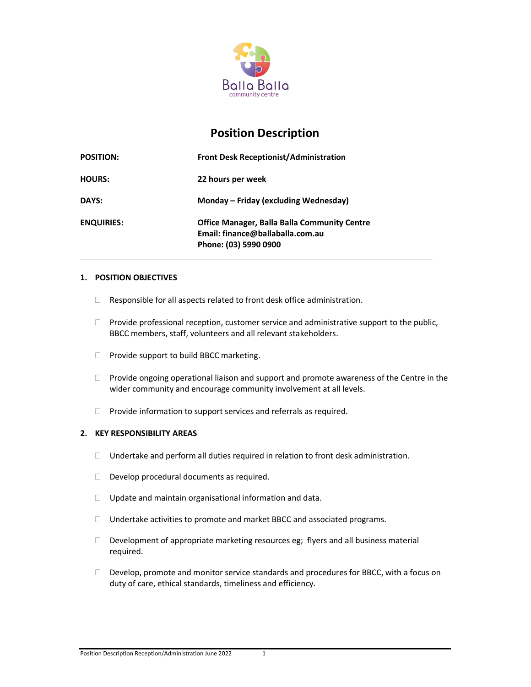

# Position Description

| <b>POSITION:</b>  | <b>Front Desk Receptionist/Administration</b>                                                                    |
|-------------------|------------------------------------------------------------------------------------------------------------------|
| <b>HOURS:</b>     | 22 hours per week                                                                                                |
| DAYS:             | Monday – Friday (excluding Wednesday)                                                                            |
| <b>ENQUIRIES:</b> | <b>Office Manager, Balla Balla Community Centre</b><br>Email: finance@ballaballa.com.au<br>Phone: (03) 5990 0900 |

# 1. POSITION OBJECTIVES

- $\Box$  Responsible for all aspects related to front desk office administration.
- $\Box$  Provide professional reception, customer service and administrative support to the public, BBCC members, staff, volunteers and all relevant stakeholders.
- **Provide support to build BBCC marketing.**
- $\Box$  Provide ongoing operational liaison and support and promote awareness of the Centre in the wider community and encourage community involvement at all levels.
- $\Box$  Provide information to support services and referrals as required.

## 2. KEY RESPONSIBILITY AREAS

- $\Box$  Undertake and perform all duties required in relation to front desk administration.
- $\Box$  Develop procedural documents as required.
- $\Box$  Update and maintain organisational information and data.
- □ Undertake activities to promote and market BBCC and associated programs.
- $\Box$  Development of appropriate marketing resources eg; flyers and all business material required.
- $\Box$  Develop, promote and monitor service standards and procedures for BBCC, with a focus on duty of care, ethical standards, timeliness and efficiency.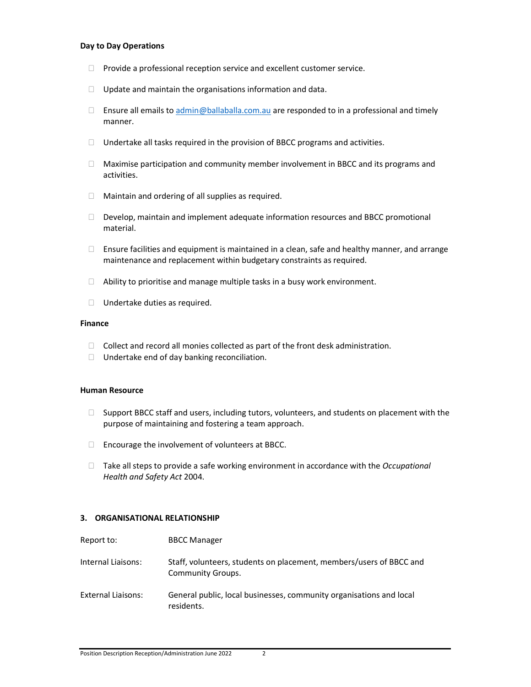#### Day to Day Operations

- $\Box$  Provide a professional reception service and excellent customer service.
- $\Box$  Update and maintain the organisations information and data.
- Ensure all emails to  $\alpha$ dmin@ballaballa.com.au are responded to in a professional and timely manner.
- $\Box$  Undertake all tasks required in the provision of BBCC programs and activities.
- $\Box$  Maximise participation and community member involvement in BBCC and its programs and activities.
- $\Box$  Maintain and ordering of all supplies as required.
- $\Box$  Develop, maintain and implement adequate information resources and BBCC promotional material.
- $\Box$  Ensure facilities and equipment is maintained in a clean, safe and healthy manner, and arrange maintenance and replacement within budgetary constraints as required.
- $\Box$  Ability to prioritise and manage multiple tasks in a busy work environment.
- □ Undertake duties as required.

#### Finance

- $\Box$  Collect and record all monies collected as part of the front desk administration.
- □ Undertake end of day banking reconciliation.

#### Human Resource

- $\Box$  Support BBCC staff and users, including tutors, volunteers, and students on placement with the purpose of maintaining and fostering a team approach.
- $\Box$  Encourage the involvement of volunteers at BBCC.
- $\Box$  Take all steps to provide a safe working environment in accordance with the *Occupational* Health and Safety Act 2004.

## 3. ORGANISATIONAL RELATIONSHIP

| Report to:                | <b>BBCC Manager</b>                                                                      |
|---------------------------|------------------------------------------------------------------------------------------|
| Internal Liaisons:        | Staff, volunteers, students on placement, members/users of BBCC and<br>Community Groups. |
| <b>External Liaisons:</b> | General public, local businesses, community organisations and local<br>residents.        |